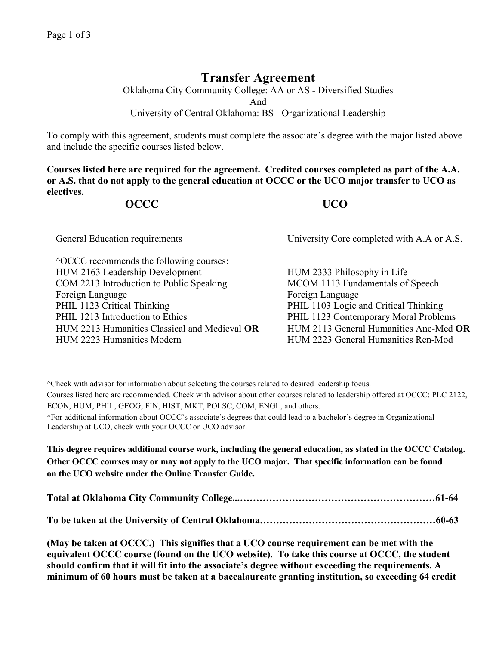## **Transfer Agreement**

Oklahoma City Community College: AA or AS - Diversified Studies And University of Central Oklahoma: BS - Organizational Leadership

To comply with this agreement, students must complete the associate's degree with the major listed above and include the specific courses listed below.

**Courses listed here are required for the agreement. Credited courses completed as part of the A.A. or A.S. that do not apply to the general education at OCCC or the UCO major transfer to UCO as electives.**

## **OCCC UCO**

| General Education requirements                                                                                                                                                                                                                                                                           | University Core completed with A.A or A.S.                                                                                                                                                                                                             |
|----------------------------------------------------------------------------------------------------------------------------------------------------------------------------------------------------------------------------------------------------------------------------------------------------------|--------------------------------------------------------------------------------------------------------------------------------------------------------------------------------------------------------------------------------------------------------|
| <sup>^</sup> OCCC recommends the following courses:<br>HUM 2163 Leadership Development<br>COM 2213 Introduction to Public Speaking<br>Foreign Language<br>PHIL 1123 Critical Thinking<br>PHIL 1213 Introduction to Ethics<br>HUM 2213 Humanities Classical and Medieval OR<br>HUM 2223 Humanities Modern | HUM 2333 Philosophy in Life<br>MCOM 1113 Fundamentals of Speech<br>Foreign Language<br>PHIL 1103 Logic and Critical Thinking<br>PHIL 1123 Contemporary Moral Problems<br>HUM 2113 General Humanities Anc-Med OR<br>HUM 2223 General Humanities Ren-Mod |

^Check with advisor for information about selecting the courses related to desired leadership focus. Courses listed here are recommended. Check with advisor about other courses related to leadership offered at OCCC: PLC 2122, ECON, HUM, PHIL, GEOG, FIN, HIST, MKT, POLSC, COM, ENGL, and others. \*For additional information about OCCC's associate's degrees that could lead to a bachelor's degree in Organizational Leadership at UCO, check with your OCCC or UCO advisor.

**This degree requires additional course work, including the general education, as stated in the OCCC Catalog. Other OCCC courses may or may not apply to the UCO major. That specific information can be found on the UCO website under the Online Transfer Guide.**

**(May be taken at OCCC.) This signifies that a UCO course requirement can be met with the equivalent OCCC course (found on the UCO website). To take this course at OCCC, the student should confirm that it will fit into the associate's degree without exceeding the requirements. A minimum of 60 hours must be taken at a baccalaureate granting institution, so exceeding 64 credit**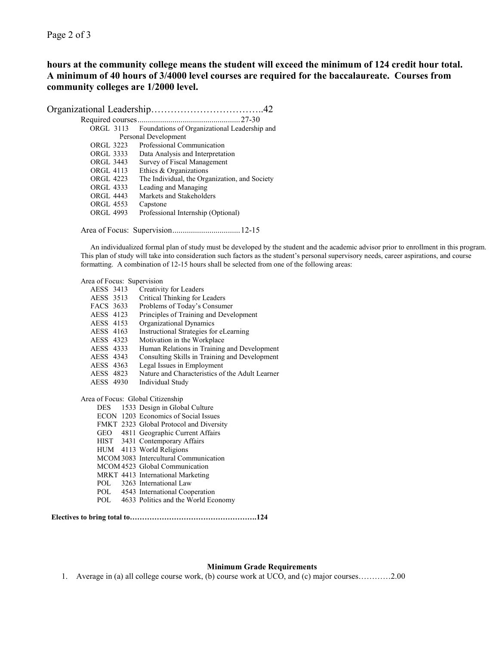Page 2 of 3

**Electives to** 

**hours at the community college means the student will exceed the minimum of 124 credit hour total. A minimum of 40 hours of 3/4000 level courses are required for the baccalaureate. Courses from community colleges are 1/2000 level.**

Organizational Leadership……………………………..42

| ORGL 3113        | Foundations of Organizational Leadership and  |
|------------------|-----------------------------------------------|
|                  | Personal Development                          |
| ORGL 3223        | Professional Communication                    |
| ORGL 3333        | Data Analysis and Interpretation              |
| <b>ORGL 3443</b> | Survey of Fiscal Management                   |
| ORGL 4113        | Ethics & Organizations                        |
| ORGL 4223        | The Individual, the Organization, and Society |
| <b>ORGL 4333</b> | Leading and Managing                          |
| <b>ORGL 4443</b> | Markets and Stakeholders                      |
| <b>ORGL 4553</b> | Capstone                                      |
| <b>ORGL 4993</b> | Professional Internship (Optional)            |
|                  |                                               |

Area of Focus: Supervision.................................12-15

An individualized formal plan of study must be developed by the student and the academic advisor prior to enrollment in this program. This plan of study will take into consideration such factors as the student's personal supervisory needs, career aspirations, and course formatting. A combination of 12-15 hours shall be selected from one of the following areas:

| Area of Focus: Supervision        |                                                                                                                                                                                                                                                                                                                                                                                                                                                          |
|-----------------------------------|----------------------------------------------------------------------------------------------------------------------------------------------------------------------------------------------------------------------------------------------------------------------------------------------------------------------------------------------------------------------------------------------------------------------------------------------------------|
| AESS 3413                         | Creativity for Leaders                                                                                                                                                                                                                                                                                                                                                                                                                                   |
| AESS 3513                         | Critical Thinking for Leaders                                                                                                                                                                                                                                                                                                                                                                                                                            |
| FACS 3633                         | Problems of Today's Consumer                                                                                                                                                                                                                                                                                                                                                                                                                             |
| AESS 4123                         | Principles of Training and Development                                                                                                                                                                                                                                                                                                                                                                                                                   |
| AESS 4153                         | Organizational Dynamics                                                                                                                                                                                                                                                                                                                                                                                                                                  |
| AESS 4163                         | Instructional Strategies for eLearning                                                                                                                                                                                                                                                                                                                                                                                                                   |
| AESS 4323                         | Motivation in the Workplace                                                                                                                                                                                                                                                                                                                                                                                                                              |
| AESS 4333                         | Human Relations in Training and Development                                                                                                                                                                                                                                                                                                                                                                                                              |
| AESS 4343                         | Consulting Skills in Training and Development                                                                                                                                                                                                                                                                                                                                                                                                            |
| AESS 4363                         | Legal Issues in Employment                                                                                                                                                                                                                                                                                                                                                                                                                               |
| AESS 4823                         | Nature and Characteristics of the Adult Learner                                                                                                                                                                                                                                                                                                                                                                                                          |
| AESS 4930                         | Individual Study                                                                                                                                                                                                                                                                                                                                                                                                                                         |
| Area of Focus: Global Citizenship | DES 1533 Design in Global Culture<br>ECON 1203 Economics of Social Issues<br>FMKT 2323 Global Protocol and Diversity<br>GEO 4811 Geographic Current Affairs<br>HIST 3431 Contemporary Affairs<br>HUM 4113 World Religions<br>MCOM 3083 Intercultural Communication<br>MCOM 4523 Global Communication<br>MRKT 4413 International Marketing<br>POL 3263 International Law<br>POL 4543 International Cooperation<br>POL 4633 Politics and the World Economy |
|                                   |                                                                                                                                                                                                                                                                                                                                                                                                                                                          |

## **Minimum Grade Requirements**

1. Average in (a) all college course work, (b) course work at UCO, and (c) major courses…………2.00